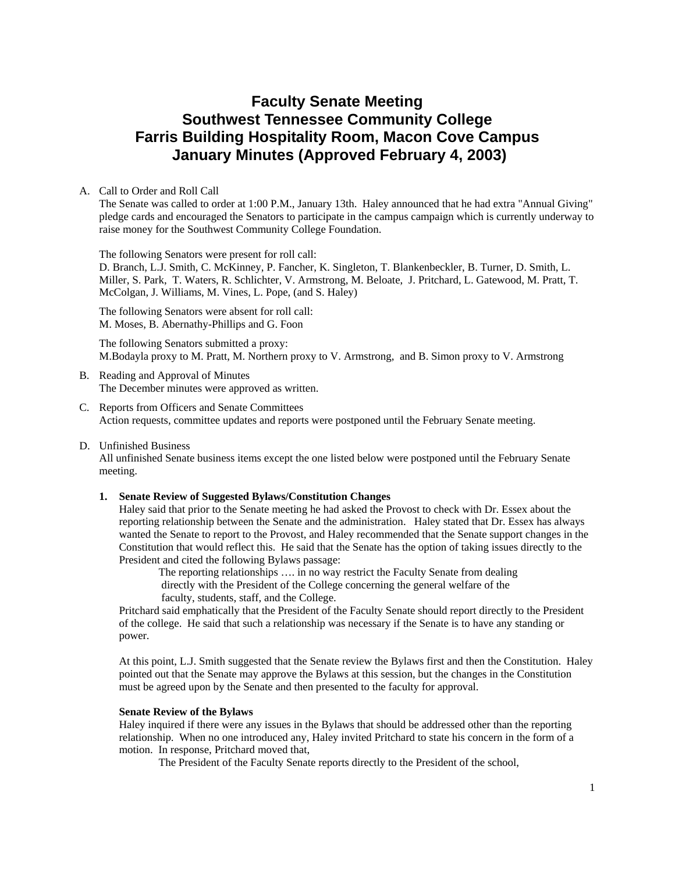# **Faculty Senate Meeting Southwest Tennessee Community College Farris Building Hospitality Room, Macon Cove Campus January Minutes (Approved February 4, 2003)**

#### A. Call to Order and Roll Call

The Senate was called to order at 1:00 P.M., January 13th. Haley announced that he had extra "Annual Giving" pledge cards and encouraged the Senators to participate in the campus campaign which is currently underway to raise money for the Southwest Community College Foundation.

The following Senators were present for roll call:

D. Branch, L.J. Smith, C. McKinney, P. Fancher, K. Singleton, T. Blankenbeckler, B. Turner, D. Smith, L. Miller, S. Park, T. Waters, R. Schlichter, V. Armstrong, M. Beloate, J. Pritchard, L. Gatewood, M. Pratt, T. McColgan, J. Williams, M. Vines, L. Pope, (and S. Haley)

The following Senators were absent for roll call: M. Moses, B. Abernathy-Phillips and G. Foon

The following Senators submitted a proxy: M.Bodayla proxy to M. Pratt, M. Northern proxy to V. Armstrong, and B. Simon proxy to V. Armstrong

- B. Reading and Approval of Minutes The December minutes were approved as written.
- C. Reports from Officers and Senate Committees Action requests, committee updates and reports were postponed until the February Senate meeting.
- D. Unfinished Business

All unfinished Senate business items except the one listed below were postponed until the February Senate meeting.

#### **1. Senate Review of Suggested Bylaws/Constitution Changes**

Haley said that prior to the Senate meeting he had asked the Provost to check with Dr. Essex about the reporting relationship between the Senate and the administration. Haley stated that Dr. Essex has always wanted the Senate to report to the Provost, and Haley recommended that the Senate support changes in the Constitution that would reflect this. He said that the Senate has the option of taking issues directly to the President and cited the following Bylaws passage:

 The reporting relationships …. in no way restrict the Faculty Senate from dealing directly with the President of the College concerning the general welfare of the faculty, students, staff, and the College.

Pritchard said emphatically that the President of the Faculty Senate should report directly to the President of the college. He said that such a relationship was necessary if the Senate is to have any standing or power.

At this point, L.J. Smith suggested that the Senate review the Bylaws first and then the Constitution. Haley pointed out that the Senate may approve the Bylaws at this session, but the changes in the Constitution must be agreed upon by the Senate and then presented to the faculty for approval.

#### **Senate Review of the Bylaws**

Haley inquired if there were any issues in the Bylaws that should be addressed other than the reporting relationship. When no one introduced any, Haley invited Pritchard to state his concern in the form of a motion. In response, Pritchard moved that,

The President of the Faculty Senate reports directly to the President of the school,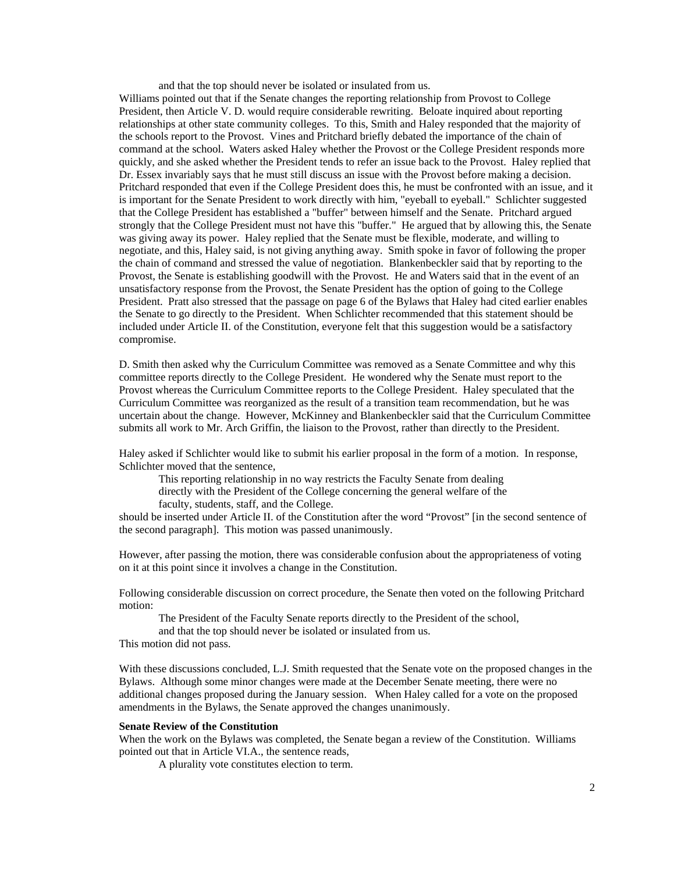and that the top should never be isolated or insulated from us.

Williams pointed out that if the Senate changes the reporting relationship from Provost to College President, then Article V. D. would require considerable rewriting. Beloate inquired about reporting relationships at other state community colleges. To this, Smith and Haley responded that the majority of the schools report to the Provost. Vines and Pritchard briefly debated the importance of the chain of command at the school. Waters asked Haley whether the Provost or the College President responds more quickly, and she asked whether the President tends to refer an issue back to the Provost. Haley replied that Dr. Essex invariably says that he must still discuss an issue with the Provost before making a decision. Pritchard responded that even if the College President does this, he must be confronted with an issue, and it is important for the Senate President to work directly with him, "eyeball to eyeball." Schlichter suggested that the College President has established a "buffer" between himself and the Senate. Pritchard argued strongly that the College President must not have this "buffer." He argued that by allowing this, the Senate was giving away its power. Haley replied that the Senate must be flexible, moderate, and willing to negotiate, and this, Haley said, is not giving anything away. Smith spoke in favor of following the proper the chain of command and stressed the value of negotiation. Blankenbeckler said that by reporting to the Provost, the Senate is establishing goodwill with the Provost. He and Waters said that in the event of an unsatisfactory response from the Provost, the Senate President has the option of going to the College President. Pratt also stressed that the passage on page 6 of the Bylaws that Haley had cited earlier enables the Senate to go directly to the President. When Schlichter recommended that this statement should be included under Article II. of the Constitution, everyone felt that this suggestion would be a satisfactory compromise.

D. Smith then asked why the Curriculum Committee was removed as a Senate Committee and why this committee reports directly to the College President. He wondered why the Senate must report to the Provost whereas the Curriculum Committee reports to the College President. Haley speculated that the Curriculum Committee was reorganized as the result of a transition team recommendation, but he was uncertain about the change. However, McKinney and Blankenbeckler said that the Curriculum Committee submits all work to Mr. Arch Griffin, the liaison to the Provost, rather than directly to the President.

Haley asked if Schlichter would like to submit his earlier proposal in the form of a motion. In response, Schlichter moved that the sentence,

 This reporting relationship in no way restricts the Faculty Senate from dealing directly with the President of the College concerning the general welfare of the faculty, students, staff, and the College.

should be inserted under Article II. of the Constitution after the word "Provost" [in the second sentence of the second paragraph]. This motion was passed unanimously.

However, after passing the motion, there was considerable confusion about the appropriateness of voting on it at this point since it involves a change in the Constitution.

Following considerable discussion on correct procedure, the Senate then voted on the following Pritchard motion:

The President of the Faculty Senate reports directly to the President of the school,

and that the top should never be isolated or insulated from us.

This motion did not pass.

With these discussions concluded, L.J. Smith requested that the Senate vote on the proposed changes in the Bylaws. Although some minor changes were made at the December Senate meeting, there were no additional changes proposed during the January session. When Haley called for a vote on the proposed amendments in the Bylaws, the Senate approved the changes unanimously.

### **Senate Review of the Constitution**

When the work on the Bylaws was completed, the Senate began a review of the Constitution.Williams pointed out that in Article VI.A., the sentence reads,

A plurality vote constitutes election to term.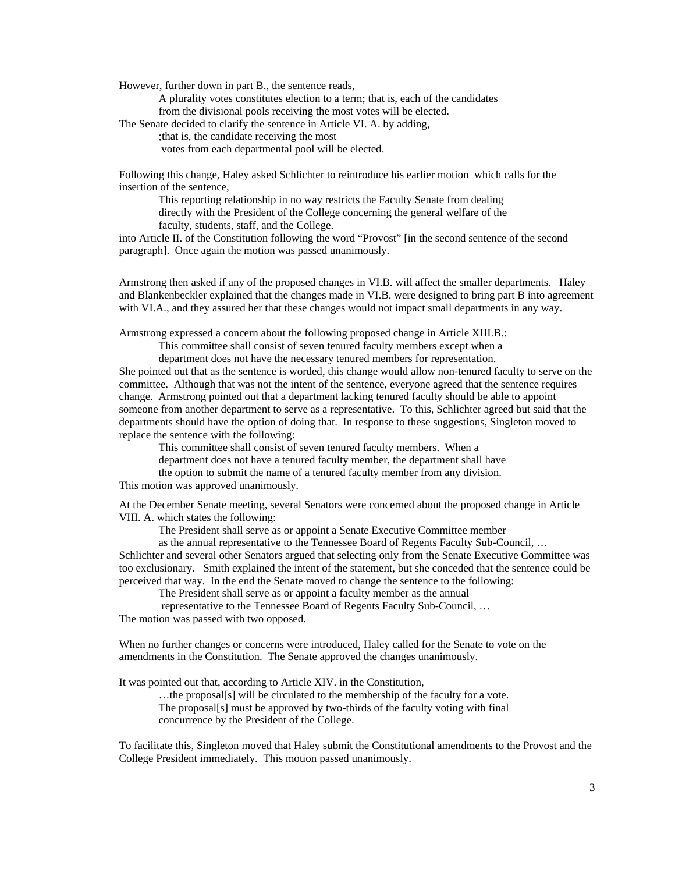However, further down in part B., the sentence reads,

 A plurality votes constitutes election to a term; that is, each of the candidates from the divisional pools receiving the most votes will be elected.

The Senate decided to clarify the sentence in Article VI. A. by adding,

;that is, the candidate receiving the most

votes from each departmental pool will be elected.

Following this change, Haley asked Schlichter to reintroduce his earlier motion which calls for the insertion of the sentence,

 This reporting relationship in no way restricts the Faculty Senate from dealing directly with the President of the College concerning the general welfare of the faculty, students, staff, and the College.

into Article II. of the Constitution following the word "Provost" [in the second sentence of the second paragraph]. Once again the motion was passed unanimously.

Armstrong then asked if any of the proposed changes in VI.B. will affect the smaller departments. Haley and Blankenbeckler explained that the changes made in VI.B. were designed to bring part B into agreement with VI.A., and they assured her that these changes would not impact small departments in any way.

Armstrong expressed a concern about the following proposed change in Article XIII.B.:

This committee shall consist of seven tenured faculty members except when a

department does not have the necessary tenured members for representation.

She pointed out that as the sentence is worded, this change would allow non-tenured faculty to serve on the committee. Although that was not the intent of the sentence, everyone agreed that the sentence requires change. Armstrong pointed out that a department lacking tenured faculty should be able to appoint someone from another department to serve as a representative. To this, Schlichter agreed but said that the departments should have the option of doing that. In response to these suggestions, Singleton moved to replace the sentence with the following:

This committee shall consist of seven tenured faculty members. When a

department does not have a tenured faculty member, the department shall have

the option to submit the name of a tenured faculty member from any division.

This motion was approved unanimously.

At the December Senate meeting, several Senators were concerned about the proposed change in Article VIII. A. which states the following:

The President shall serve as or appoint a Senate Executive Committee member

 as the annual representative to the Tennessee Board of Regents Faculty Sub-Council, … Schlichter and several other Senators argued that selecting only from the Senate Executive Committee was too exclusionary. Smith explained the intent of the statement, but she conceded that the sentence could be perceived that way. In the end the Senate moved to change the sentence to the following:

The President shall serve as or appoint a faculty member as the annual

 representative to the Tennessee Board of Regents Faculty Sub-Council, … The motion was passed with two opposed.

When no further changes or concerns were introduced, Haley called for the Senate to vote on the amendments in the Constitution. The Senate approved the changes unanimously.

It was pointed out that, according to Article XIV. in the Constitution,

 …the proposal[s] will be circulated to the membership of the faculty for a vote. The proposal[s] must be approved by two-thirds of the faculty voting with final concurrence by the President of the College.

To facilitate this, Singleton moved that Haley submit the Constitutional amendments to the Provost and the College President immediately. This motion passed unanimously.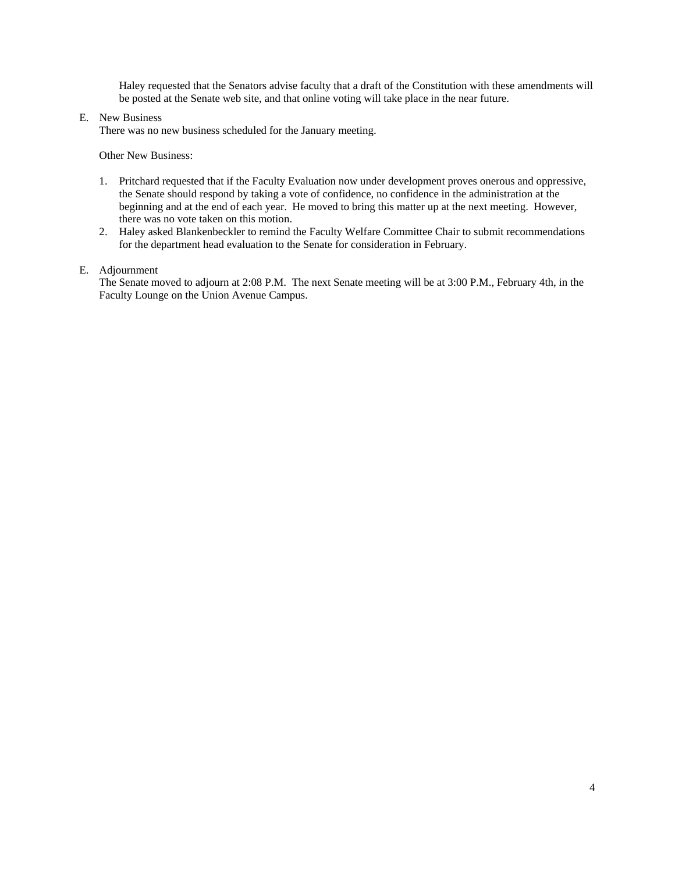Haley requested that the Senators advise faculty that a draft of the Constitution with these amendments will be posted at the Senate web site, and that online voting will take place in the near future.

#### E. New Business

There was no new business scheduled for the January meeting.

Other New Business:

- 1. Pritchard requested that if the Faculty Evaluation now under development proves onerous and oppressive, the Senate should respond by taking a vote of confidence, no confidence in the administration at the beginning and at the end of each year. He moved to bring this matter up at the next meeting. However, there was no vote taken on this motion.
- 2. Haley asked Blankenbeckler to remind the Faculty Welfare Committee Chair to submit recommendations for the department head evaluation to the Senate for consideration in February.

#### E. Adjournment

The Senate moved to adjourn at 2:08 P.M. The next Senate meeting will be at 3:00 P.M., February 4th, in the Faculty Lounge on the Union Avenue Campus.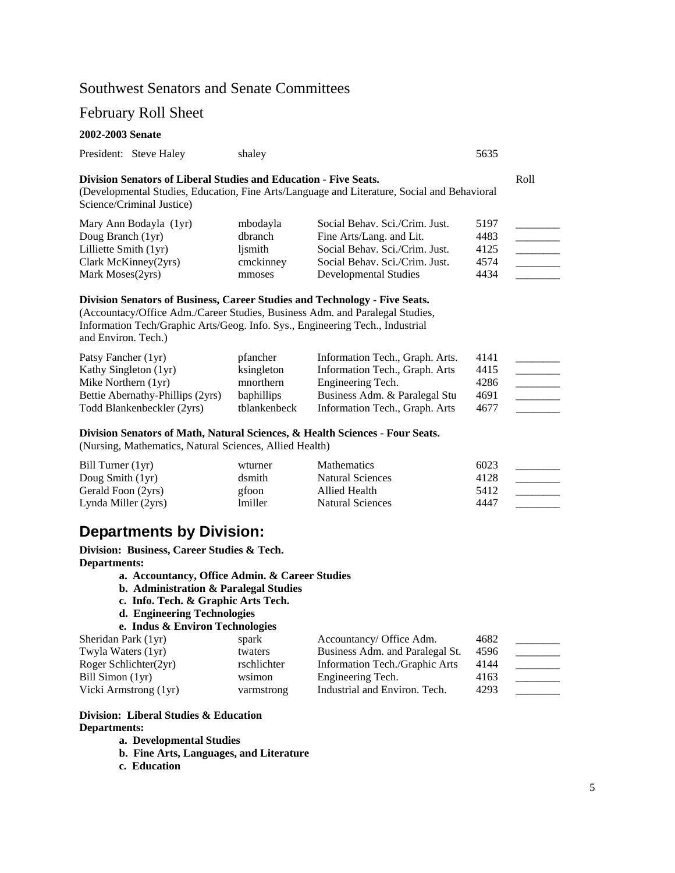# Southwest Senators and Senate Committees

# February Roll Sheet

### **2002-2003 Senate**

|                                                                                                                                                                        | President: Steve Haley | shaley | 5635 |
|------------------------------------------------------------------------------------------------------------------------------------------------------------------------|------------------------|--------|------|
| <b>Division Senators of Liberal Studies and Education - Five Seats.</b><br>(Developmental Studies, Education, Fine Arts/Language and Literature, Social and Behavioral |                        |        |      |

Science/Criminal Justice)

| Mary Ann Bodayla (1yr)  | mbodayla  | Social Behav. Sci./Crim. Just. | 5197 |  |
|-------------------------|-----------|--------------------------------|------|--|
| Doug Branch (1yr)       | dbranch   | Fine Arts/Lang. and Lit.       | 4483 |  |
| Lilliette Smith $(1yr)$ | lismith   | Social Behav. Sci./Crim. Just. | 4125 |  |
| Clark McKinney $(2yrs)$ | cmckinney | Social Behav. Sci./Crim. Just. | 4574 |  |
| Mark Moses (2yrs)       | mmoses    | Developmental Studies          | 4434 |  |

### **Division Senators of Business, Career Studies and Technology - Five Seats.**

(Accountacy/Office Adm./Career Studies, Business Adm. and Paralegal Studies, Information Tech/Graphic Arts/Geog. Info. Sys., Engineering Tech., Industrial and Environ. Tech.)

| Patsy Fancher (1yr)              | pfancher          | Information Tech., Graph. Arts. | 4141 |  |
|----------------------------------|-------------------|---------------------------------|------|--|
| Kathy Singleton (1yr)            | ksingleton        | Information Tech., Graph. Arts  | 4415 |  |
| Mike Northern $(1yr)$            | mnorthern         | Engineering Tech.               | 4286 |  |
| Bettie Abernathy-Phillips (2yrs) | <b>baphillips</b> | Business Adm. & Paralegal Stu   | 4691 |  |
| Todd Blankenbeckler (2yrs)       | tblankenbeck      | Information Tech., Graph. Arts  | 4677 |  |

#### **Division Senators of Math, Natural Sciences, & Health Sciences - Four Seats.**

(Nursing, Mathematics, Natural Sciences, Allied Health)

| Bill Turner (1yr)   | wturner        | <b>Mathematics</b> | 6023 |  |
|---------------------|----------------|--------------------|------|--|
| Doug Smith $(1yr)$  | dsmith         | Natural Sciences   | 4128 |  |
| Gerald Foon (2yrs)  | gfoon          | Allied Health      | 5412 |  |
| Lynda Miller (2yrs) | <i>lmiller</i> | Natural Sciences   | 4447 |  |

# **Departments by Division:**

**Division: Business, Career Studies & Tech. Departments:** 

- **a. Accountancy, Office Admin. & Career Studies**
- **b. Administration & Paralegal Studies**
- **c. Info. Tech. & Graphic Arts Tech.**
- **d. Engineering Technologies**

```
e. Indus & Environ Technologies
```

| Sheridan Park (1yr)   | spark       | Accountancy/ Office Adm.        | 4682 |  |
|-----------------------|-------------|---------------------------------|------|--|
| Twyla Waters (1yr)    | twaters     | Business Adm. and Paralegal St. | 4596 |  |
| Roger Schlichter(2yr) | rschlichter | Information Tech./Graphic Arts  | 4144 |  |
| Bill Simon (1yr)      | wsimon      | Engineering Tech.               | 4163 |  |
| Vicki Armstrong (1yr) | varmstrong  | Industrial and Environ. Tech.   | 4293 |  |

# **Division: Liberal Studies & Education Departments:**

**a. Developmental Studies** 

- **b. Fine Arts, Languages, and Literature**
- **c. Education**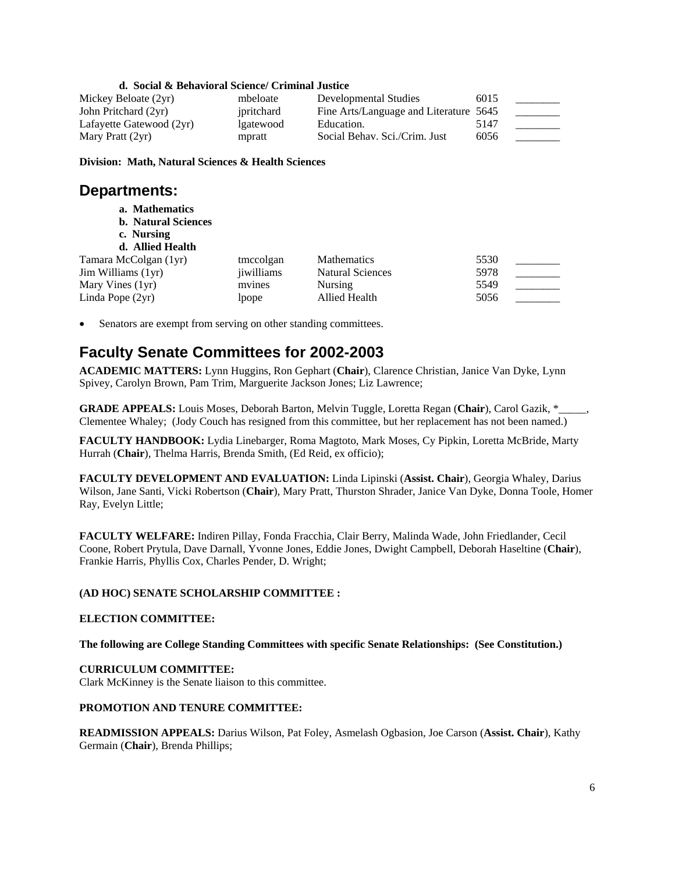## **d. Social & Behavioral Science/ Criminal Justice**

| Mickey Beloate (2yr)     | mbeloate   | Developmental Studies                  | 6015 |  |
|--------------------------|------------|----------------------------------------|------|--|
| John Pritchard (2yr)     | ipritchard | Fine Arts/Language and Literature 5645 |      |  |
| Lafayette Gatewood (2yr) | lgatewood  | Education.                             | 5147 |  |
| Mary Pratt $(2yr)$       | mpratt     | Social Behav. Sci./Crim. Just          | 6056 |  |

**Division: Math, Natural Sciences & Health Sciences** 

# **Departments:**

- **a. Mathematics**
- **b. Natural Sciences**
- **c. Nursing**
- **d. Allied Health**  Tamara McColgan (1yr) tmccolgan Mathematics 5530 Jim Williams (1yr) iiwilliams Natural Sciences 5978 Mary Vines (1yr) mvines Nursing 5549 Linda Pope (2yr) lpope Allied Health 5056

Senators are exempt from serving on other standing committees.

# **Faculty Senate Committees for 2002-2003**

**ACADEMIC MATTERS:** Lynn Huggins, Ron Gephart (**Chair**), Clarence Christian, Janice Van Dyke, Lynn Spivey, Carolyn Brown, Pam Trim, Marguerite Jackson Jones; Liz Lawrence;

**GRADE APPEALS:** Louis Moses, Deborah Barton, Melvin Tuggle, Loretta Regan (**Chair**), Carol Gazik, \*\_\_\_\_\_, Clementee Whaley; (Jody Couch has resigned from this committee, but her replacement has not been named.)

**FACULTY HANDBOOK:** Lydia Linebarger, Roma Magtoto, Mark Moses, Cy Pipkin, Loretta McBride, Marty Hurrah (**Chair**), Thelma Harris, Brenda Smith, (Ed Reid, ex officio);

**FACULTY DEVELOPMENT AND EVALUATION:** Linda Lipinski (**Assist. Chair**), Georgia Whaley, Darius Wilson, Jane Santi, Vicki Robertson (**Chair**), Mary Pratt, Thurston Shrader, Janice Van Dyke, Donna Toole, Homer Ray, Evelyn Little;

**FACULTY WELFARE:** Indiren Pillay, Fonda Fracchia, Clair Berry, Malinda Wade, John Friedlander, Cecil Coone, Robert Prytula, Dave Darnall, Yvonne Jones, Eddie Jones, Dwight Campbell, Deborah Haseltine (**Chair**), Frankie Harris, Phyllis Cox, Charles Pender, D. Wright;

## **(AD HOC) SENATE SCHOLARSHIP COMMITTEE :**

#### **ELECTION COMMITTEE:**

**The following are College Standing Committees with specific Senate Relationships: (See Constitution.)** 

## **CURRICULUM COMMITTEE:**

Clark McKinney is the Senate liaison to this committee.

#### **PROMOTION AND TENURE COMMITTEE:**

**READMISSION APPEALS:** Darius Wilson, Pat Foley, Asmelash Ogbasion, Joe Carson (**Assist. Chair**), Kathy Germain (**Chair**), Brenda Phillips;